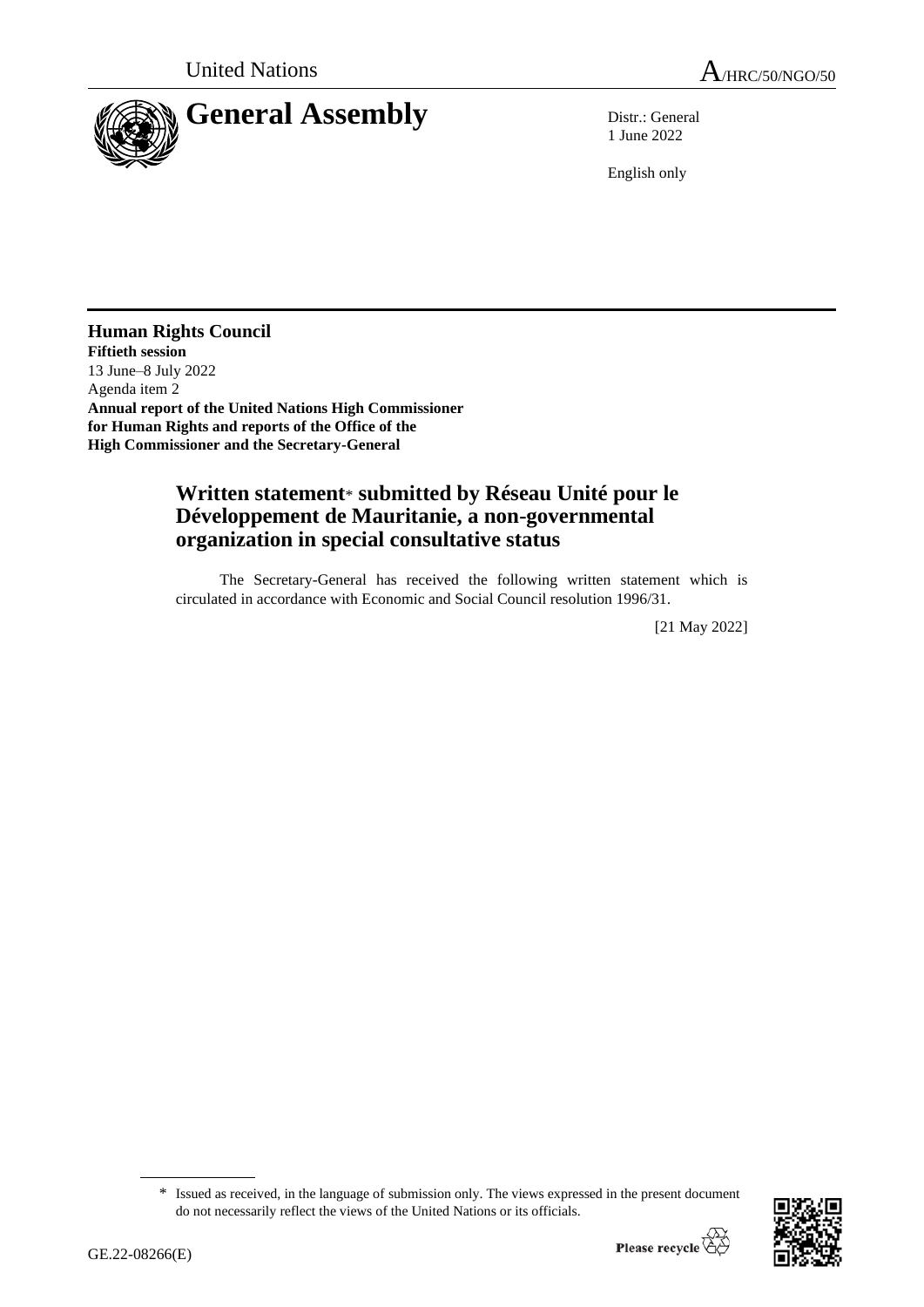

1 June 2022

English only

**Human Rights Council Fiftieth session** 13 June–8 July 2022 Agenda item 2 **Annual report of the United Nations High Commissioner for Human Rights and reports of the Office of the High Commissioner and the Secretary-General**

## **Written statement**\* **submitted by Réseau Unité pour le Développement de Mauritanie, a non-governmental organization in special consultative status**

The Secretary-General has received the following written statement which is circulated in accordance with Economic and Social Council resolution 1996/31.

[21 May 2022]

<sup>\*</sup> Issued as received, in the language of submission only. The views expressed in the present document do not necessarily reflect the views of the United Nations or its officials.